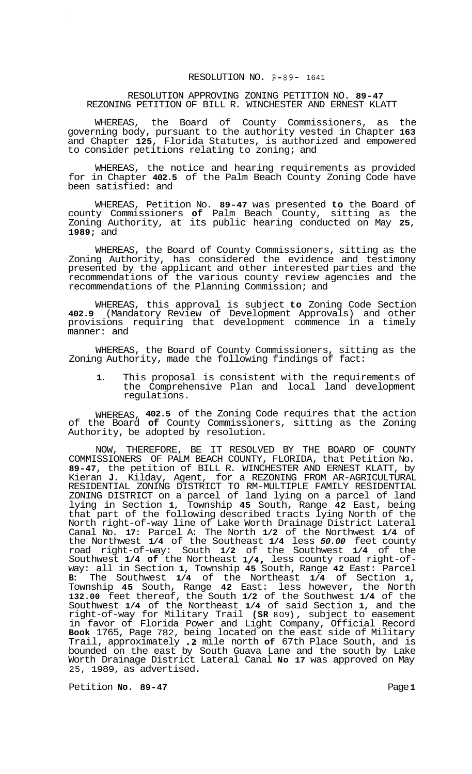## RESOLUTION NO. **R-89-** 1641

## RESOLUTION APPROVING ZONING PETITION NO. **89-47**  REZONING PETITION OF BILL R. WINCHESTER AND ERNEST KLATT

WHEREAS, the Board of County Commissioners, as the governing body, pursuant to the authority vested in Chapter **163**  and Chapter **125,** Florida Statutes, is authorized and empowered to consider petitions relating to zoning; and

WHEREAS, the notice and hearing requirements as provided for in Chapter **402.5** of the Palm Beach County Zoning Code have been satisfied: and

WHEREAS, Petition No. **89-47** was presented **to** the Board of county Commissioners **of** Palm Beach County, sitting as the Zoning Authority, at its public hearing conducted on May **25, 1989;** and

WHEREAS, the Board of County Commissioners, sitting as the Zoning Authority, has considered the evidence and testimony presented by the applicant and other interested parties and the recommendations of the various county review agencies and the recommendations of the Planning Commission; and

WHEREAS, this approval is subject **to** Zoning Code Section **402.9** (Mandatory Review of Development Approvals) and other provisions requiring that development commence in a timely manner: and

WHEREAS, the Board of County Commissioners, sitting as the Zoning Authority, made the following findings of fact:

**1.** This proposal is consistent with the requirements of the Comprehensive Plan and local land development regulations.

WHEREAS, **402.5** of the Zoning Code requires that the action of the Board **of** County Commissioners, sitting as the Zoning Authority, be adopted by resolution.

NOW, THEREFORE, BE IT RESOLVED BY THE BOARD OF COUNTY COMMISSIONERS OF PALM BEACH COUNTY, FLORIDA, that Petition No. **89-47,** the petition of BILL R. WINCHESTER AND ERNEST KLATT, by Kieran **J.** Kilday, Agent, for a REZONING FROM AR-AGRICULTURAL ZONING DISTRICT on a parcel of land lying on a parcel of land lying in Section **1,** Township **45** South, Range **42** East, being that part of the following described tracts lying North of the North right-of-way line of Lake Worth Drainage District Lateral Canal No. **17:** Parcel A: The North **1/2** of the Northwest **1/4** of the Northwest **1/4** of the Southeast **1/4** less *50.00* feet county road right-of-way: South **1/2** of the Southwest **1/4** of the Southwest **1/4 of** the Northeast **1/4,** less county road right-of- way: all in Section **1,** Township **45** South, Range **42** East: Parcel **B:** The Southwest **1/4** of the Northeast **1/4** of Section **1,**  Township **45** South, Range **42** East: less however, the North **132.00** feet thereof, the South **1/2** of the Southwest **1/4** of the Southwest **1/4** of the Northeast **1/4** of said Section **1,** and the right-of-way for Military Trail **(SR 809),** subject to easement in favor of Florida Power and Light Company, Official Record **Book** 1765, Page 782, being located on the east side of Military Trail, approximately **.2** mile north **of** 67th Place South, and is bounded on the east by South Guava Lane and the south by Lake Worth Drainage District Lateral Canal **No 17** was approved on May 25, 1989, as advertised. RESIDENTIAL ZONING DISTRICT TO RM-MULTIPLE FAMILY RESIDENTIAL

Petition **No. 89-47 Page 1**